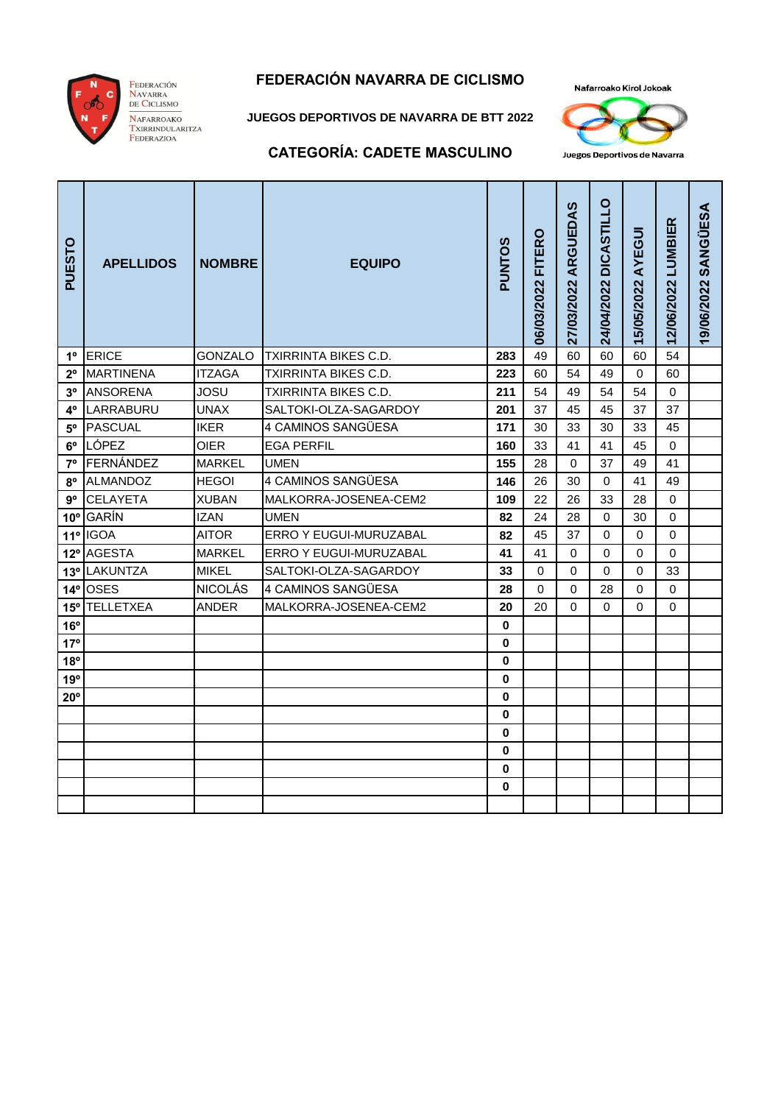

Federación<br>Navarra<br>de Ciclismo NAFARROAKO

TARARROAKO<br>TXIRRINDULARITZA<br>FEDERAZIOA

# **FEDERACIÓN NAVARRA DE CICLISMO**

**JUEGOS DEPORTIVOS DE NAVARRA DE BTT 2022**

Nafarroako Kirol Jokoak



#### **CATEGORÍA: CADETE MASCULINO**

| PUESTO          | <b>APELLIDOS</b> | <b>NOMBRE</b>  | <b>EQUIPO</b>                 | PUNTOS       | 06/03/2022 FITERO | 27/03/2022 ARGUEDAS | 24/04/2022 DICASTILLO | 15/05/2022 AYEGUI | 12/06/2022 LUMBIER | 19/06/2022 SANGUESA |
|-----------------|------------------|----------------|-------------------------------|--------------|-------------------|---------------------|-----------------------|-------------------|--------------------|---------------------|
| $1^{\circ}$     | <b>ERICE</b>     | <b>GONZALO</b> | <b>TXIRRINTA BIKES C.D.</b>   | 283          | 49                | 60                  | 60                    | 60                | 54                 |                     |
| $2^{\circ}$     | <b>MARTINENA</b> | <b>ITZAGA</b>  | TXIRRINTA BIKES C.D.          | 223          | 60                | 54                  | 49                    | $\Omega$          | 60                 |                     |
| 3 <sup>o</sup>  | <b>ANSORENA</b>  | <b>JOSU</b>    | <b>TXIRRINTA BIKES C.D.</b>   | 211          | 54                | 49                  | 54                    | 54                | $\mathbf 0$        |                     |
| $4^{\circ}$     | LARRABURU        | <b>UNAX</b>    | SALTOKI-OLZA-SAGARDOY         | 201          | 37                | 45                  | 45                    | 37                | 37                 |                     |
| $5^{\circ}$     | <b>PASCUAL</b>   | <b>IKER</b>    | 4 CAMINOS SANGÜESA            | 171          | 30                | 33                  | 30                    | 33                | 45                 |                     |
| $6^{\circ}$     | LÓPEZ            | OIER           | <b>EGA PERFIL</b>             | 160          | 33                | 41                  | 41                    | 45                | $\Omega$           |                     |
| $7^\circ$       | FERNÁNDEZ        | <b>MARKEL</b>  | <b>UMEN</b>                   | 155          | 28                | $\Omega$            | 37                    | 49                | 41                 |                     |
| 8°              | ALMANDOZ         | <b>HEGOI</b>   | 4 CAMINOS SANGÜESA            | 146          | 26                | 30                  | $\Omega$              | 41                | 49                 |                     |
| 9°              | <b>CELAYETA</b>  | <b>XUBAN</b>   | MALKORRA-JOSENEA-CEM2         | 109          | 22                | 26                  | 33                    | 28                | $\Omega$           |                     |
|                 | 10° GARÍN        | <b>IZAN</b>    | <b>UMEN</b>                   | 82           | 24                | 28                  | $\Omega$              | 30                | $\Omega$           |                     |
|                 | 11º IGOA         | <b>AITOR</b>   | <b>ERRO Y EUGUI-MURUZABAL</b> | 82           | 45                | 37                  | $\Omega$              | 0                 | 0                  |                     |
|                 | 12º AGESTA       | <b>MARKEL</b>  | ERRO Y EUGUI-MURUZABAL        | 41           | 41                | $\Omega$            | $\Omega$              | $\Omega$          | $\Omega$           |                     |
|                 | 13º LAKUNTZA     | <b>MIKEL</b>   | SALTOKI-OLZA-SAGARDOY         | 33           | 0                 | 0                   | 0                     | 0                 | 33                 |                     |
|                 | 14º OSES         | <b>NICOLÁS</b> | 4 CAMINOS SANGÜESA            | 28           | $\Omega$          | $\Omega$            | 28                    | 0                 | $\Omega$           |                     |
|                 | 15° TELLETXEA    | ANDER          | MALKORRA-JOSENEA-CEM2         | 20           | 20                | $\Omega$            | 0                     | 0                 | 0                  |                     |
| 16°             |                  |                |                               | $\bf{0}$     |                   |                     |                       |                   |                    |                     |
| 17 <sup>°</sup> |                  |                |                               | 0            |                   |                     |                       |                   |                    |                     |
| 18°             |                  |                |                               | 0            |                   |                     |                       |                   |                    |                     |
| 19°             |                  |                |                               | 0            |                   |                     |                       |                   |                    |                     |
| $20^{\circ}$    |                  |                |                               | $\bf{0}$     |                   |                     |                       |                   |                    |                     |
|                 |                  |                |                               | 0            |                   |                     |                       |                   |                    |                     |
|                 |                  |                |                               | 0            |                   |                     |                       |                   |                    |                     |
|                 |                  |                |                               | 0            |                   |                     |                       |                   |                    |                     |
|                 |                  |                |                               | 0            |                   |                     |                       |                   |                    |                     |
|                 |                  |                |                               | $\mathbf{0}$ |                   |                     |                       |                   |                    |                     |
|                 |                  |                |                               |              |                   |                     |                       |                   |                    |                     |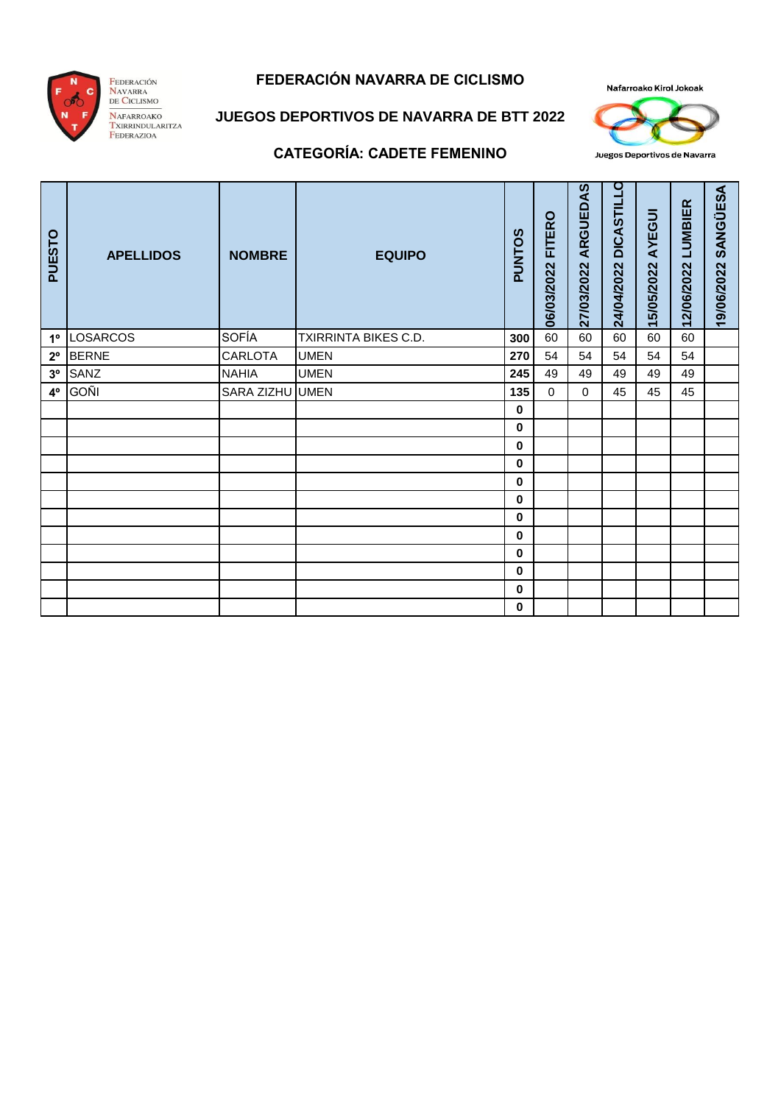

Federación<br>Navarra<br>de Ciclismo NAFARROAKO<br>Txirrindularitza<br>Federazioa

### **FEDERACIÓN NAVARRA DE CICLISMO**

Nafarroako Kirol Jokoak



Juegos Deportivos de Navarra

# **JUEGOS DEPORTIVOS DE NAVARRA DE BTT 2022**

#### **CATEGORÍA: CADETE FEMENINO**

| PUESTO         | <b>APELLIDOS</b> | <b>NOMBRE</b>   | <b>EQUIPO</b>        | <b>PUNTOS</b> | FITERO<br>06/03/2022 | ARGUEDAS<br>27/03/2022 | <b>DICASTILLO</b><br>24/04/2022 | AYEGUI<br>15/05/2022 | LUMBIER<br>12/06/2022 | <b>SANGÜESA</b><br>19/06/2022 |
|----------------|------------------|-----------------|----------------------|---------------|----------------------|------------------------|---------------------------------|----------------------|-----------------------|-------------------------------|
| 1 <sup>°</sup> | LOSARCOS         | <b>SOFÍA</b>    | TXIRRINTA BIKES C.D. | 300           | 60                   | 60                     | 60                              | 60                   | 60                    |                               |
| $2^{\circ}$    | <b>BERNE</b>     | CARLOTA         | <b>UMEN</b>          | 270           | 54                   | 54                     | 54                              | 54                   | 54                    |                               |
| 3 <sup>o</sup> | SANZ             | <b>NAHIA</b>    | <b>UMEN</b>          | 245           | 49                   | 49                     | 49                              | 49                   | 49                    |                               |
| 4°             | <b>GOÑI</b>      | SARA ZIZHU UMEN |                      | 135           | $\Omega$             | $\Omega$               | 45                              | 45                   | 45                    |                               |
|                |                  |                 |                      | 0             |                      |                        |                                 |                      |                       |                               |
|                |                  |                 |                      | 0             |                      |                        |                                 |                      |                       |                               |
|                |                  |                 |                      | 0             |                      |                        |                                 |                      |                       |                               |
|                |                  |                 |                      | 0             |                      |                        |                                 |                      |                       |                               |
|                |                  |                 |                      | 0             |                      |                        |                                 |                      |                       |                               |
|                |                  |                 |                      | 0             |                      |                        |                                 |                      |                       |                               |
|                |                  |                 |                      | 0             |                      |                        |                                 |                      |                       |                               |
|                |                  |                 |                      | 0             |                      |                        |                                 |                      |                       |                               |
|                |                  |                 |                      | 0             |                      |                        |                                 |                      |                       |                               |
|                |                  |                 |                      | 0             |                      |                        |                                 |                      |                       |                               |
|                |                  |                 |                      | 0             |                      |                        |                                 |                      |                       |                               |
|                |                  |                 |                      | 0             |                      |                        |                                 |                      |                       |                               |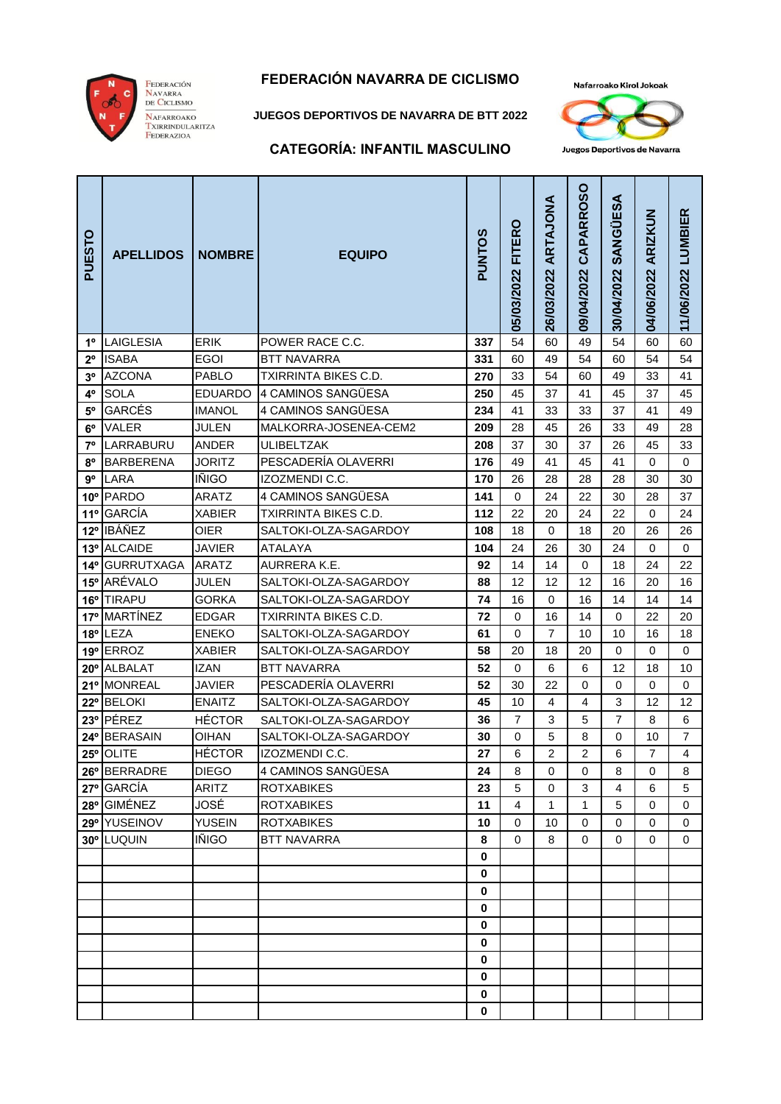

#### **FEDERACIÓN NAVARRA DE CICLISMO**

**JUEGOS DEPORTIVOS DE NAVARRA DE BTT 2022**



#### **CATEGORÍA: INFANTIL MASCULINO**

|  | Juegos Deportivos de Navarra |  |
|--|------------------------------|--|

| PUESTO          | <b>APELLIDOS</b>         | <b>NOMBRE</b>                | <b>EQUIPO</b>                               | <b>PUNTOS</b> | 05/03/2022 FITERO | 26/03/2022 ARTAJONA | 09/04/2022 CAPARROSO | 30/04/2022 SANGUESA | 04/06/2022 ARIZKUN | 11/06/2022 LUMBIER |
|-----------------|--------------------------|------------------------------|---------------------------------------------|---------------|-------------------|---------------------|----------------------|---------------------|--------------------|--------------------|
| $1^{\circ}$     | LAIGLESIA                | <b>ERIK</b>                  | POWER RACE C.C.                             | 337           | 54                | 60                  | 49                   | 54                  | 60                 | 60                 |
| $2^{\circ}$     | <b>ISABA</b>             | <b>EGOI</b>                  | <b>BTT NAVARRA</b>                          | 331           | 60                | 49                  | 54                   | 60                  | 54                 | 54                 |
| 3 <sup>o</sup>  | <b>AZCONA</b>            | <b>PABLO</b>                 | <b>TXIRRINTA BIKES C.D.</b>                 | 270           | 33                | 54                  | 60                   | 49                  | 33                 | 41                 |
| 4°              | <b>SOLA</b>              | <b>EDUARDO</b>               | 4 CAMINOS SANGÜESA                          | 250           | 45                | 37                  | 41                   | 45                  | 37                 | 45                 |
| $5^{\circ}$     | <b>GARCÉS</b>            | <b>IMANOL</b>                | 4 CAMINOS SANGÜESA                          | 234           | 41                | 33                  | 33                   | 37                  | 41                 | 49                 |
| $6^{\circ}$     | VALER                    | JULEN                        | MALKORRA-JOSENEA-CEM2                       | 209           | 28                | 45                  | 26                   | 33                  | 49                 | 28                 |
| 7º              | LARRABURU                | <b>ANDER</b>                 | ULIBELTZAK                                  | 208           | 37                | 30                  | 37                   | 26                  | 45                 | 33                 |
| 8°              | <b>BARBERENA</b>         | <b>JORITZ</b>                | PESCADERÍA OLAVERRI                         | 176           | 49                | 41                  | 45                   | 41                  | 0                  | 0                  |
| $9^{\circ}$     | LARA                     | <b>IÑIGO</b>                 | IZOZMENDI C.C.                              | 170           | 26                | 28                  | 28                   | 28                  | 30                 | 30                 |
|                 | 10° PARDO                | ARATZ                        | 4 CAMINOS SANGÜESA                          | 141           | $\mathbf 0$       | 24                  | 22                   | 30                  | 28                 | 37                 |
| 11°             | <b>GARCÍA</b>            | <b>XABIER</b>                | TXIRRINTA BIKES C.D.                        | 112           | 22                | 20                  | 24                   | 22                  | $\mathbf 0$        | 24                 |
| $12^{\circ}$    | <b>IBÁÑEZ</b>            | <b>OIER</b>                  | SALTOKI-OLZA-SAGARDOY                       | 108           | 18                | 0                   | 18                   | 20                  | 26                 | 26                 |
|                 | 13º ALCAIDE              | <b>JAVIER</b>                | <b>ATALAYA</b>                              | 104           | 24                | 26                  | 30                   | 24                  | 0                  | 0                  |
| 14 <sup>°</sup> | <b>GURRUTXAGA</b>        | <b>ARATZ</b>                 | AURRERA K.E.                                | 92            | 14                | 14                  | $\pmb{0}$            | 18                  | 24                 | 22                 |
|                 | 15° ARÉVALO              | JULEN                        | SALTOKI-OLZA-SAGARDOY                       | 88            | 12                | 12                  | 12                   | 16                  | 20                 | 16                 |
|                 | 16° TIRAPU               | <b>GORKA</b>                 | SALTOKI-OLZA-SAGARDOY                       | 74            | 16                | 0                   | 16                   | 14                  | 14                 | 14                 |
| 17°             | <b>MARTÍNEZ</b>          | <b>EDGAR</b>                 | TXIRRINTA BIKES C.D.                        | 72            | 0                 | 16                  | 14                   | 0                   | 22                 | 20                 |
|                 | 18° LEZA                 | <b>ENEKO</b>                 | SALTOKI-OLZA-SAGARDOY                       | 61            | 0                 | 7                   | 10                   | 10                  | 16                 | 18                 |
|                 | 19º ERROZ<br>20° ALBALAT | <b>XABIER</b><br><b>IZAN</b> | SALTOKI-OLZA-SAGARDOY<br><b>BTT NAVARRA</b> | 58<br>52      | 20<br>$\mathbf 0$ | 18<br>6             | 20<br>6              | $\mathbf 0$<br>12   | 0<br>18            | 0<br>10            |
|                 | 21º MONREAL              | <b>JAVIER</b>                | PESCADERÍA OLAVERRI                         | 52            | 30                | 22                  | 0                    | 0                   | $\mathbf 0$        | $\mathbf 0$        |
| $22^{\circ}$    | <b>BELOKI</b>            | <b>ENAITZ</b>                | SALTOKI-OLZA-SAGARDOY                       | 45            | 10                | 4                   | 4                    | 3                   | 12                 | 12                 |
|                 | 23º PÉREZ                | <b>HÉCTOR</b>                | SALTOKI-OLZA-SAGARDOY                       | 36            | $\overline{7}$    | 3                   | 5                    | 7                   | 8                  | 6                  |
|                 | 24º BERASAIN             | <b>OIHAN</b>                 | SALTOKI-OLZA-SAGARDOY                       | 30            | 0                 | 5                   | 8                    | 0                   | 10                 | $\overline{7}$     |
| $25^{\circ}$    | <b>OLITE</b>             | <b>HÉCTOR</b>                | IZOZMENDI C.C.                              | 27            | 6                 | $\overline{2}$      | $\overline{2}$       | 6                   | $\overline{7}$     | 4                  |
|                 | 26° BERRADRE             | <b>DIEGO</b>                 | 4 CAMINOS SANGÜESA                          | 24            | 8                 | 0                   | 0                    | 8                   | 0                  | 8                  |
|                 | 27º GARCÍA               | <b>ARITZ</b>                 | <b>ROTXABIKES</b>                           | 23            | 5                 | $\mathbf 0$         | 3                    | 4                   | 6                  | 5                  |
|                 | 28° GIMÉNEZ              | JOSÉ                         | <b>ROTXABIKES</b>                           | 11            | 4                 | 1                   | 1                    | 5                   | 0                  | 0                  |
|                 | 29° YUSEINOV             | <b>YUSEIN</b>                | <b>ROTXABIKES</b>                           | 10            | 0                 | 10                  | 0                    | 0                   | 0                  | 0                  |
|                 | 30° LUQUIN               | IÑIGO                        | <b>BTT NAVARRA</b>                          | 8             | 0                 | 8                   | 0                    | 0                   | 0                  | 0                  |
|                 |                          |                              |                                             | 0             |                   |                     |                      |                     |                    |                    |
|                 |                          |                              |                                             | 0             |                   |                     |                      |                     |                    |                    |
|                 |                          |                              |                                             | 0             |                   |                     |                      |                     |                    |                    |
|                 |                          |                              |                                             | 0             |                   |                     |                      |                     |                    |                    |
|                 |                          |                              |                                             | 0             |                   |                     |                      |                     |                    |                    |
|                 |                          |                              |                                             | $\pmb{0}$     |                   |                     |                      |                     |                    |                    |
|                 |                          |                              |                                             | 0             |                   |                     |                      |                     |                    |                    |
|                 |                          |                              |                                             | $\mathbf 0$   |                   |                     |                      |                     |                    |                    |
|                 |                          |                              |                                             | $\mathbf 0$   |                   |                     |                      |                     |                    |                    |
|                 |                          |                              |                                             | 0             |                   |                     |                      |                     |                    |                    |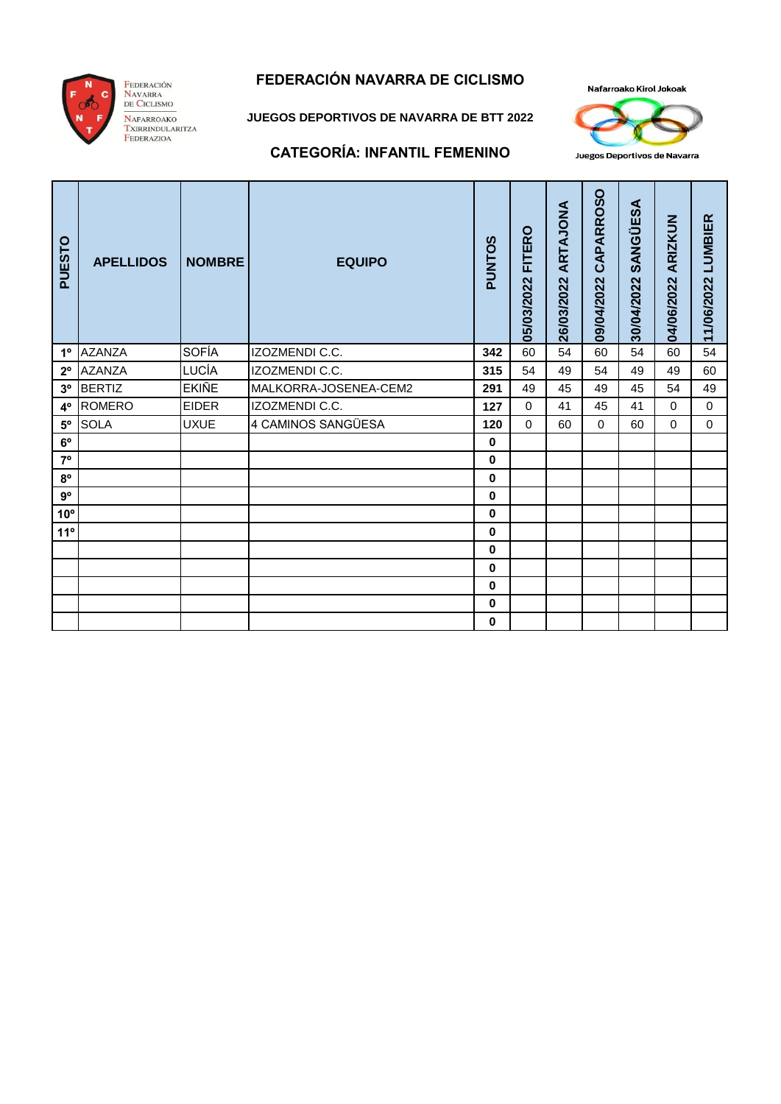

#### FEDERACIÓN NAVARRA **NAFARROAKO TEARARROAKO<br>TXIRRINDULARITZA<br>FEDERAZIOA**

### **FEDERACIÓN NAVARRA DE CICLISMO**

**JUEGOS DEPORTIVOS DE NAVARRA DE BTT 2022**



Juegos Deportivos de Navarra

#### **CATEGORÍA: INFANTIL FEMENINO**

| PUESTO         | <b>APELLIDOS</b> | <b>NOMBRE</b> | <b>EQUIPO</b>         | SOLNNc   | FITERO<br>05/03/2022 | ARTAJONA<br>26/03/2022 | CAPARROSO<br>09/04/2022 | SANGÜESA<br>30/04/2022 | ARIZKUN<br>04/06/2022 | <b>LUMBIER</b><br>11/06/2022 |
|----------------|------------------|---------------|-----------------------|----------|----------------------|------------------------|-------------------------|------------------------|-----------------------|------------------------------|
| 1 <sup>°</sup> | <b>AZANZA</b>    | <b>SOFÍA</b>  | IZOZMENDI C.C.        | 342      | 60                   | 54                     | 60                      | 54                     | 60                    | 54                           |
| $2^{\circ}$    | <b>AZANZA</b>    | LUCÍA         | IZOZMENDI C.C.        | 315      | 54                   | 49                     | 54                      | 49                     | 49                    | 60                           |
| 3 <sup>o</sup> | <b>BERTIZ</b>    | <b>EKIÑE</b>  | MALKORRA-JOSENEA-CEM2 | 291      | 49                   | 45                     | 49                      | 45                     | 54                    | 49                           |
| $4^{\circ}$    | <b>ROMERO</b>    | <b>EIDER</b>  | IZOZMENDI C.C.        | 127      | $\Omega$             | 41                     | 45                      | 41                     | $\Omega$              | $\Omega$                     |
| $5^{\circ}$    | <b>SOLA</b>      | <b>UXUE</b>   | 4 CAMINOS SANGÜESA    | 120      | $\Omega$             | 60                     | $\Omega$                | 60                     | $\Omega$              | $\Omega$                     |
| $6^{\circ}$    |                  |               |                       | $\bf{0}$ |                      |                        |                         |                        |                       |                              |
| $7^{\circ}$    |                  |               |                       | $\bf{0}$ |                      |                        |                         |                        |                       |                              |
| $8^{\circ}$    |                  |               |                       | $\bf{0}$ |                      |                        |                         |                        |                       |                              |
| $9^{\circ}$    |                  |               |                       | 0        |                      |                        |                         |                        |                       |                              |
| $10^{\circ}$   |                  |               |                       | 0        |                      |                        |                         |                        |                       |                              |
| 11°            |                  |               |                       | 0        |                      |                        |                         |                        |                       |                              |
|                |                  |               |                       | 0        |                      |                        |                         |                        |                       |                              |
|                |                  |               |                       | 0        |                      |                        |                         |                        |                       |                              |
|                |                  |               |                       | 0        |                      |                        |                         |                        |                       |                              |
|                |                  |               |                       | 0        |                      |                        |                         |                        |                       |                              |
|                |                  |               |                       | 0        |                      |                        |                         |                        |                       |                              |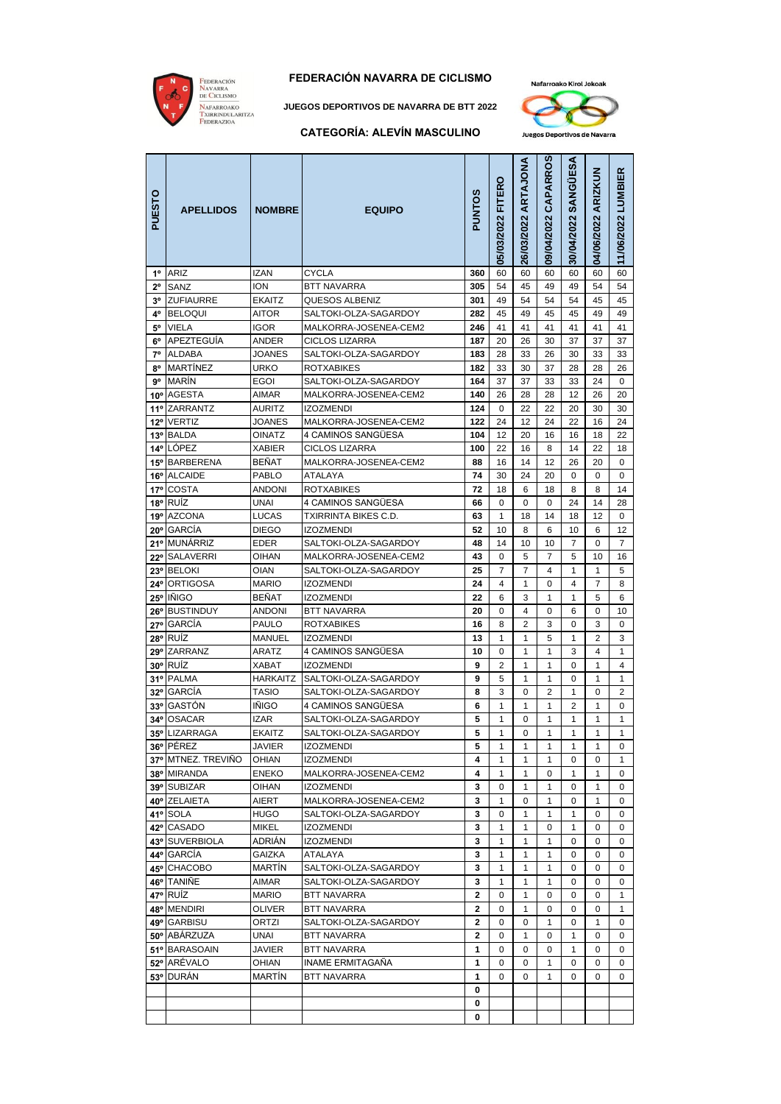

#### **FEDERACIÓN NAVARRA DE CICLISMO**

**JUEGOS DEPORTIVOS DE NAVARRA DE BTT 2022**

#### **CATEGORÍA: ALEVÍN MASCULINO**



| PUESTO       | <b>APELLIDOS</b>                    | <b>NOMBRE</b>       | <b>EQUIPO</b>                             | PUNTOS                  | 05/03/2022 FITERO | 26/03/2022 ARTAJONA | 09/04/2022 CAPARROS | 30/04/2022 SANGÜESA | 04/06/2022 ARIZKUN | 11/06/2022 LUMBIER |
|--------------|-------------------------------------|---------------------|-------------------------------------------|-------------------------|-------------------|---------------------|---------------------|---------------------|--------------------|--------------------|
| $1^{\circ}$  | ARIZ                                | IZAN                | CYCLA                                     | 360                     | 60                | 60                  | 60                  | 60                  | 60                 | 60                 |
| $2^{\circ}$  | SANZ                                | ION                 | BTT NAVARRA                               | 305                     | 54                | 45                  | 49                  | 49                  | 54                 | 54                 |
|              | 3º ZUFIAURRE                        | <b>EKAITZ</b>       | QUESOS ALBENIZ                            | 301                     | 49                | 54                  | 54                  | 54                  | 45                 | 45                 |
| 4°           | <b>BELOQUI</b>                      | AITOR               | SALTOKI-OLZA-SAGARDOY                     | 282                     | 45                | 49                  | 45                  | 45                  | 49                 | 49                 |
| 5°           | VIELA                               | <b>IGOR</b>         | MALKORRA-JOSENEA-CEM2                     | 246                     | 41                | 41                  | 41                  | 41                  | 41                 | 41                 |
| 6°           | APEZTEGUÍA                          | ANDER               | <b>CICLOS LIZARRA</b>                     | 187                     | 20                | 26                  | 30                  | 37                  | 37                 | 37                 |
| $7^\circ$    | <b>ALDABA</b>                       | <b>JOANES</b>       | SALTOKI-OLZA-SAGARDOY                     | 183                     | 28                | 33                  | 26                  | 30                  | 33                 | 33                 |
|              | 8º MARTÍNEZ<br>9 <sup>°</sup> MARÍN | URKO<br><b>EGOI</b> | ROTXABIKES<br>SALTOKI-OLZA-SAGARDOY       | 182<br>164              | 33<br>37          | 30<br>37            | 37<br>33            | 28<br>33            | 28<br>24           | 26<br>0            |
|              | 10° AGESTA                          | AIMAR               | MALKORRA-JOSENEA-CEM2                     | 140                     | 26                | 28                  | 28                  | 12                  | 26                 | 20                 |
|              | 11º ZARRANTZ                        | AURITZ              | <b>IZOZMENDI</b>                          | 124                     | 0                 | 22                  | 22                  | 20                  | 30                 | 30                 |
| $12^{\circ}$ | <b>VERTIZ</b>                       | JOANES              | MALKORRA-JOSENEA-CEM2                     | 122                     | 24                | 12                  | 24                  | 22                  | 16                 | 24                 |
|              | 13º BALDA                           | OINATZ              | 4 CAMINOS SANGÜESA                        | 104                     | 12                | 20                  | 16                  | 16                  | 18                 | 22                 |
|              | 14º LÓPEZ                           | <b>XABIER</b>       | <b>CICLOS LIZARRA</b>                     | 100                     | 22                | 16                  | 8                   | 14                  | 22                 | 18                 |
|              | 15° BARBERENA                       | BEÑAT               | MALKORRA-JOSENEA-CEM2                     | 88                      | 16                | 14                  | 12                  | 26                  | 20                 | 0                  |
|              | 16° ALCAIDE                         | PABLO               | ATALAYA                                   | 74                      | 30                | 24                  | 20                  | $\mathbf 0$         | 0                  | 0                  |
|              | 17º COSTA                           | ANDONI              | <b>ROTXABIKES</b>                         | 72                      | 18                | 6                   | 18                  | 8                   | 8                  | 14                 |
|              | 18° RUÍZ                            | UNAI                | 4 CAMINOS SANGÜESA                        | 66                      | 0                 | 0                   | 0                   | 24                  | 14                 | 28                 |
|              | 19º AZCONA                          | <b>LUCAS</b>        | TXIRRINTA BIKES C.D.                      | 63                      | 1                 | 18                  | 14                  | 18                  | 12                 | 0                  |
|              | 20° GARCÍA                          | <b>DIEGO</b>        | <b>IZOZMENDI</b>                          | 52                      | 10                | 8                   | 6                   | 10                  | 6                  | 12                 |
|              | 21º MUNÁRRIZ                        | EDER                | SALTOKI-OLZA-SAGARDOY                     | 48                      | 14                | 10                  | 10                  | 7                   | 0                  | 7                  |
|              | 22º SALAVERRI                       | OIHAN               | MALKORRA-JOSENEA-CEM2                     | 43                      | 0                 | 5                   | 7                   | 5                   | 10                 | 16                 |
|              | 23º BELOKI                          | <b>OIAN</b>         | SALTOKI-OLZA-SAGARDOY                     | 25                      | $\overline{7}$    | 7                   | 4                   | 1                   | 1                  | 5                  |
|              | 24° ORTIGOSA<br>25° IÑIGO           | MARIO<br>BEÑAT      | <b>IZOZMENDI</b><br><b>IZOZMENDI</b>      | 24<br>22                | 4<br>6            | 1<br>3              | 0<br>$\mathbf{1}$   | 4<br>1              | 7<br>5             | 8<br>6             |
|              | 26° BUSTINDUY                       | ANDONI              | BTT NAVARRA                               | 20                      | 0                 | 4                   | 0                   | 6                   | 0                  | 10                 |
|              | 27º GARCÍA                          | PAULO               | ROTXABIKES                                | 16                      | 8                 | 2                   | 3                   | 0                   | 3                  | 0                  |
|              | 28° RUIZ                            | MANUEL              | <b>IZOZMENDI</b>                          | 13                      | 1                 | 1                   | 5                   | 1                   | 2                  | 3                  |
|              | 29° ZARRANZ                         | ARATZ               | 4 CAMINOS SANGÜESA                        | 10                      | 0                 | 1                   | 1                   | 3                   | 4                  | $\mathbf{1}$       |
|              | 30° RUÍZ                            | XABAT               | <b>IZOZMENDI</b>                          | 9                       | $\overline{2}$    | 1                   | 1                   | 0                   | 1                  | 4                  |
|              | 31º PALMA                           | HARKAITZ            | SALTOKI-OLZA-SAGARDOY                     | 9                       | 5                 | $\mathbf{1}$        | $\mathbf{1}$        | 0                   | 1                  | 1                  |
|              | 32º GARCÍA                          | <b>TASIO</b>        | SALTOKI-OLZA-SAGARDOY                     | 8                       | 3                 | 0                   | 2                   | 1                   | 0                  | 2                  |
|              | 33º GASTÓN                          | IÑIGO               | 4 CAMINOS SANGÜESA                        | 6                       | 1                 | 1                   | 1                   | 2                   | 1                  | 0                  |
|              | 34º OSACAR                          | IZAR                | SALTOKI-OLZA-SAGARDOY                     | 5                       | 1                 | 0                   | 1                   | 1                   | 1                  | 1                  |
|              | 35° LIZARRAGA                       | <b>EKAITZ</b>       | SALTOKI-OLZA-SAGARDOY                     | 5                       | 1                 | $\mathbf 0$         | 1                   | 1                   | 1                  | $\mathbf{1}$       |
|              | 36° PÉREZ                           | <b>JAVIER</b>       | <b>IZOZMENDI</b>                          | 5                       | 1                 | 1                   | 1                   | 1                   | 1                  | 0                  |
|              | 37º MTNEZ. TREVIÑO                  | <b>OHIAN</b>        | <b>IZOZMENDI</b>                          | 4                       | 1                 | 1                   | 1                   | 0                   | 0                  | 1                  |
|              | 38º MIRANDA                         | <b>ENEKO</b>        | MALKORRA-JOSENEA-CEM2                     | 4                       | 1                 | 1                   | 0                   | 1                   | 1                  | 0                  |
|              | 39° SUBIZAR<br>40° ZELAIETA         | OIHAN<br>AIERT      | <b>IZOZMENDI</b><br>MALKORRA-JOSENEA-CEM2 | 3<br>3                  | 0<br>1            | $\mathbf{1}$<br>0   | 1<br>1              | 0<br>0              | 1<br>1             | 0<br>0             |
|              | 41º SOLA                            | <b>HUGO</b>         | SALTOKI-OLZA-SAGARDOY                     | 3                       | 0                 | 1                   | 1                   | 1                   | 0                  | 0                  |
|              | 42º CASADO                          | MIKEL               | IZOZMENDI                                 | 3                       | 1                 | 1                   | 0                   | 1                   | 0                  | 0                  |
|              | 43º SUVERBIOLA                      | ADRIÁN              | <b>IZOZMENDI</b>                          | 3                       | 1                 | 1                   | 1                   | 0                   | 0                  | 0                  |
|              | 44º GARCÍA                          | <b>GAIZKA</b>       | ATALAYA                                   | 3                       | 1                 | 1                   | 1                   | 0                   | 0                  | 0                  |
|              | 45° CHACOBO                         | MARTIN              | SALTOKI-OLZA-SAGARDOY                     | 3                       | 1                 | 1                   | 1                   | 0                   | 0                  | 0                  |
|              | 46° TANIÑE                          | AIMAR               | SALTOKI-OLZA-SAGARDOY                     | 3                       | 1                 | $\mathbf{1}$        | 1                   | 0                   | 0                  | 0                  |
|              | 47° RUIZ                            | <b>MARIO</b>        | BTT NAVARRA                               | 2                       | 0                 | 1                   | 0                   | 0                   | 0                  | 1                  |
|              | 48° MENDIRI                         | OLIVER              | <b>BTT NAVARRA</b>                        | 2                       | 0                 | 1                   | 0                   | 0                   | 0                  | 1                  |
|              | 49º GARBISU                         | ORTZI               | SALTOKI-OLZA-SAGARDOY                     | 2                       | 0                 | 0                   | 1                   | 0                   | 1                  | 0                  |
|              | 50° ABÁRZUZA                        | UNAI                | BTT NAVARRA                               | $\overline{\mathbf{c}}$ | 0                 | 1                   | 0                   | 1                   | 0                  | 0                  |
|              | 51º BARASOAIN                       | <b>JAVIER</b>       | BTT NAVARRA                               | 1                       | 0                 | 0                   | 0                   | 1                   | 0                  | 0                  |
|              | 52º ARÉVALO                         | OHIAN               | INAME ERMITAGAÑA                          | 1                       | 0                 | 0                   | 1                   | 0                   | 0                  | 0                  |
|              | 53º DURÁN                           | MARTIN              | BTT NAVARRA                               | 1                       | 0                 | 0                   | $\mathbf{1}$        | 0                   | 0                  | 0                  |
|              |                                     |                     |                                           | 0                       |                   |                     |                     |                     |                    |                    |
|              |                                     |                     |                                           | 0<br>0                  |                   |                     |                     |                     |                    |                    |
|              |                                     |                     |                                           |                         |                   |                     |                     |                     |                    |                    |